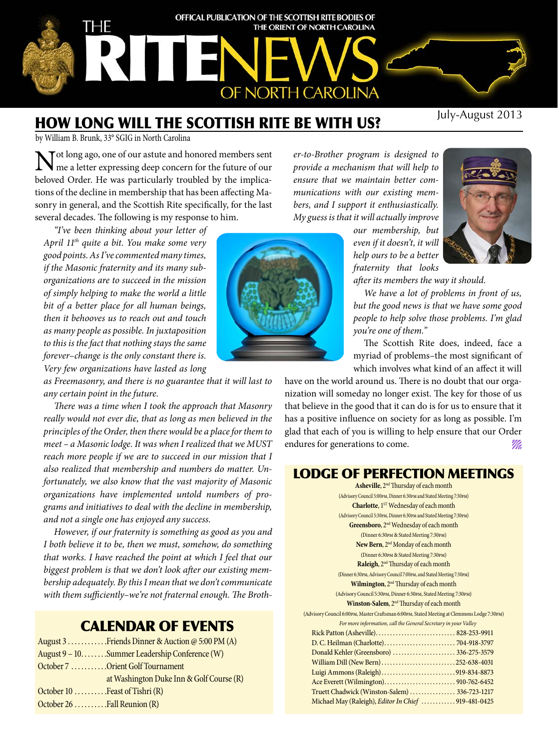

# How long will the Scottish Rite be with us?

by William B. Brunk, 33° SGIG in North Carolina

Tot long ago, one of our astute and honored members sent me a letter expressing deep concern for the future of our beloved Order. He was particularly troubled by the implications of the decline in membership that has been affecting Masonry in general, and the Scottish Rite specifically, for the last several decades. The following is my response to him.

*"I've been thinking about your letter of April 11th quite a bit. You make some very good points. As I've commented many times, if the Masonic fraternity and its many suborganizations are to succeed in the mission of simply helping to make the world a little bit of a better place for all human beings, then it behooves us to reach out and touch as many people as possible. In juxtaposition to this is the fact that nothing stays the same forever–change is the only constant there is. Very few organizations have lasted as long* 

*as Freemasonry, and there is no guarantee that it will last to any certain point in the future.*

*There was a time when I took the approach that Masonry really would not ever die, that as long as men believed in the principles of the Order, then there would be a place for them to meet – a Masonic lodge. It was when I realized that we MUST reach more people if we are to succeed in our mission that I also realized that membership and numbers do matter. Unfortunately, we also know that the vast majority of Masonic organizations have implemented untold numbers of programs and initiatives to deal with the decline in membership, and not a single one has enjoyed any success.*

*However, if our fraternity is something as good as you and I both believe it to be, then we must, somehow, do something that works. I have reached the point at which I feel that our biggest problem is that we don't look after our existing membership adequately. By this I mean that we don't communicate with them sufficiently–we're not fraternal enough. The Broth-*

# Calendar of EVENTS

|                                    | August 3 Friends Dinner & Auction @ 5:00 PM (A) |
|------------------------------------|-------------------------------------------------|
|                                    | August 9 – 10Summer Leadership Conference (W)   |
|                                    | October 7 Orient Golf Tournament                |
|                                    | at Washington Duke Inn & Golf Course (R)        |
| October $10$ Feast of Tishri $(R)$ |                                                 |
| October 26 Fall Reunion (R)        |                                                 |



*er-to-Brother program is designed to provide a mechanism that will help to ensure that we maintain better communications with our existing members, and I support it enthusiastically. My guess is that it will actually improve* 

*our membership, but even if it doesn't, it will help ours to be a better fraternity that looks* 

*after its members the way it should.*

*We have a lot of problems in front of us, but the good news is that we have some good people to help solve those problems. I'm glad you're one of them."*

The Scottish Rite does, indeed, face a myriad of problems–the most significant of which involves what kind of an affect it will

have on the world around us. There is no doubt that our organization will someday no longer exist. The key for those of us that believe in the good that it can do is for us to ensure that it has a positive influence on society for as long as possible. I'm glad that each of you is willing to help ensure that our Order endures for generations to come.

# Lodge of Perfection meetings

**Asheville**, 2nd Thursday of each month (Advisory Council 5:00pm, Dinner 6:30pm and Stated Meeting 7:30pm) **Charlotte**, 1<sup>st</sup> Wednesday of each month (Advisory Council 5:30pm, Dinner 6:30pm and Stated Meeting 7:30pm) **Greensboro**, 2nd Wednesday of each month (Dinner 6:30pm & Stated Meeting 7:30pm) New Bern, 2<sup>nd</sup> Monday of each month (Dinner 6:30pm & Stated Meeting 7:30pm) **Raleigh**, 2<sup>nd</sup> Thursday of each month (Dinner 6:30pm, Advisory Council 7:00pm, and Stated Meeting 7:30pm) **Wilmington**, 2nd Thursday of each month (Advisory Council 5:30pm, Dinner 6:30pm, Stated Meeting 7:30pm) **Winston-Salem**, 2nd Thursday of each month (Advisory Council 6:00pm, Master Craftsman 6:00pm, Stated Meeting at Clemmons Lodge 7:30pm) *For more information, call the General Secretary in your Valley* Rick Patton (Asheville) . . . . . . . . . . . . . . . . . . . . . . . . . . . . 828-253-9911 D. C. Heilman (Charlotte) . . . . . . . . . . . . . . . . . . . . . . . . . 704-918-3797 Donald Kehler (Greensboro) . . . . . . . . . . . . . . . . . . . . . 336-275-3579 William Dill (New Bern) . . . . . . . . . . . . . . . . . . . . . . . . . 252-638-4031 Luigi Ammons (Raleigh) . . . . . . . . . . . . . . . . . . . . . . . . . 919-834-8873 Ace Everett (Wilmington) . . . . . . . . . . . . . . . . . . . . . . . . . 910-762-6452 Truett Chadwick (Winston-Salem) . . . . . . . . . . . . . . . . 336-723-1217 Michael May (Raleigh), *Editor In Chief* . . . . . . . . . . . . 919-481-0425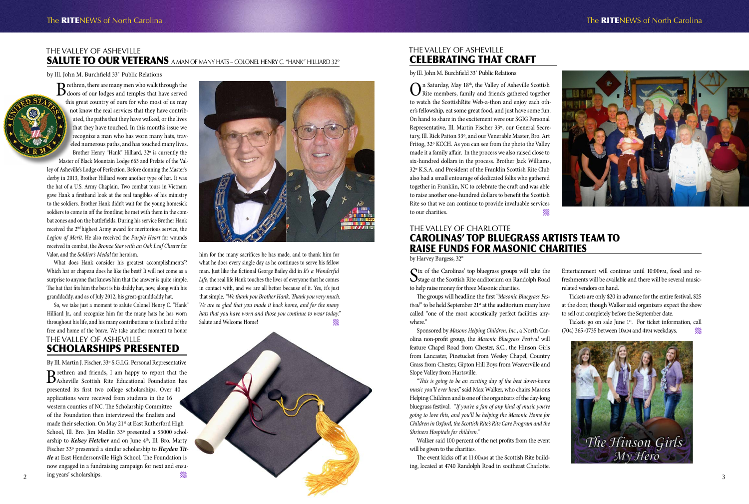# The Valley of AshEville SALUTE TO OUR VETERANS A MAN OF MANY HATS – COLONEL HENRY C. "HANK" HILLIARD 32°

#### by Ill. John M. Burchfield 33˚ Public Relations

Brethren, there are many men who walk through the doors of our lodges and temples that have served this great country of ours for who most of us may not know the real services that they have contributed, the paths that they have walked, or the lives that they have touched. In this month's issue we recognize a man who has worn many hats, traveled numerous paths, and has touched many lives. Brother Henry "Hank" Hilliard, 32º is currently the

> him for the many sacrifices he has made, and to thank him for what he does every single day as he continues to serve his fellow man. Just like the fictional George Bailey did in *It's a Wonderful Life*, the real life Hank touches the lives of everyone that he comes in contact with, and we are all better because of it. Yes, it's just that simple. *"We thank you Brother Hank. Thank you very much. We are so glad that you made it back home, and for the many hats that you have worn and those you continue to wear today."* Salute and Welcome Home!

Master of Black Mountain Lodge 663 and Prelate of the Valley of Asheville's Lodge of Perfection. Before donning the Master's derby in 2013, Brother Hilliard wore another type of hat. It was the hat of a U.S. Army Chaplain. Two combat tours in Vietnam gave Hank a firsthand look at the real tangibles of his ministry to the soldiers. Brother Hank didn't wait for the young homesick soldiers to come in off the frontline; he met with them in the combat zones and on the battlefields. During his service Brother Hank received the 2nd highest Army award for meritorious service, the *Legion of Merit*. He also received the *Purple Heart* for wounds received in combat, the *Bronze Star with an Oak Leaf Cluster* for Valor, and the *Soldier's Medal* for heroism.

What does Hank consider his greatest accomplishments'? Which hat or chapeau does he like the best? It will not come as a surprise to anyone that knows him that the answer is quite simple. The hat that fits him the best is his daddy hat, now, along with his granddaddy, and as of July 2012, his great-granddaddy hat.

 $\sum_{\text{Rite members, family and friends gathered together}$ to watch the ScottishRite Web-a-thon and enjoy each other's fellowship, eat some great food, and just have some fun. On hand to share in the excitement were our SGIG Personal Representative, Ill. Martin Fischer 33º, our General Secretary, Ill. Rick Patton 33º, and our Venerable Master, Bro. Art Fritog, 32º KCCH. As you can see from the photo the Valley made it a family affair. In the process we also raised close to six-hundred dollars in the process. Brother Jack Williams, 32º K.S.A. and President of the Franklin Scottish Rite Club also had a small entourage of dedicated folks who gathered together in Franklin, NC to celebrate the craft and was able to raise another one-hundred dollars to benefit the Scottish Rite so that we can continue to provide invaluable services to our charities.

Brethren and friends, I am happy to report that the BAsheville Scottish Rite Educational Foundation has presented its first two college scholarships. Over 40 applications were received from students in the 16 western counties of NC. The Scholarship Committee of the Foundation then interviewed the finalists and made their selection. On May 21<sup>st</sup> at East Rutherford High School, Ill. Bro. Jim Medlin 33º presented a \$5000 scholarship to *Kelsey Fletcher* and on June 4<sup>th</sup>, Ill. Bro. Marty Fischer 33º presented a similar scholarship to *Hayden Tittle* at East Hendersonville High School. The Foundation is now engaged in a fundraising campaign for next and ensuing years' scholarships.

#### THE VALLEY OF CHARLOTTE Carolinas' Top Bluegrass artists team to raise funds for Masonic Charities by Harvey Burgess, 32°

Six of the Carolinas' top bluegrass groups will take the Scottish Rite auditorium on Randolph Road to help raise money for three Masonic charities.

#### The Valley of AshEville Celebrating that craft

by Ill. John M. Burchfield 33˚ Public Relations

So, we take just a moment to salute Colonel Henry C. "Hank" Hilliard Jr., and recognize him for the many hats he has worn throughout his life, and his many contributions to this land of the free and home of the brave. We take another moment to honor The Valley of AshEville

Tickets go on sale June 1<sup>st</sup>. For ticket information, call (704) 365-0735 between 10am and 4pm weekdays.



# Scholarships Presented

By Ill. Martin J. Fischer, 33º S.G.I.G. Personal Representative



The groups will headline the first "*Masonic Bluegrass Fes*tival" to be held September 21<sup>st</sup> at the auditorium many have called "one of the most acoustically perfect facilities anywhere."

Sponsored by *Masons Helping Children, Inc.*, a North Carolina non-profit group, the *Masonic Bluegrass Festival* will feature Chapel Road from Chester, S.C., the Hinson Girls from Lancaster, Pinetucket from Wesley Chapel, Country Grass from Chester, Gipton Hill Boys from Weaverville and Slope Valley from Hartsville.

*"This is going to be an exciting day of the best down-home music you'll ever hear,"* said Max Walker, who chairs Masons Helping Children and is one of the organizers of the day-long bluegrass festival. *"If you're a fan of any kind of music you're going to love this, and you'll be helping the Masonic Home for Children in Oxford, the Scottish Rite's Rite Care Program and the Shriners Hospitals for children."*

Walker said 100 percent of the net profits from the event will be given to the charities.

The event kicks off at 11:00am at the Scottish Rite building, located at 4740 Randolph Road in southeast Charlotte.



#### The RITENEWS of North Carolina **The RITENEWS** of North Carolina



Entertainment will continue until 10:00pm, food and refreshments will be available and there will be several musicrelated vendors on hand.

Tickets are only \$20 in advance for the entire festival, \$25 at the door, though Walker said organizers expect the show to sell out completely before the September date.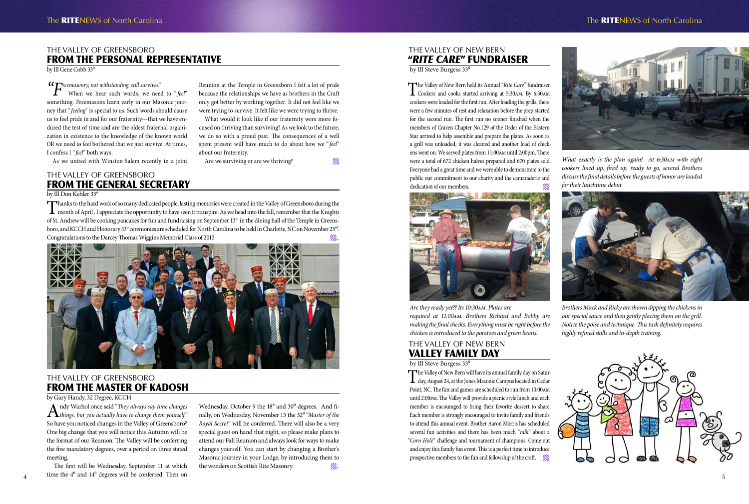#### The Valley of NEW BERN "*RITE CARE*" FUNDRAISER

by Ill Steve Burgess 33<sup>0</sup>

The Valley of New Bern held its Annual "*Rite Care*" fundraiser.<br>
Cookers and cooks started arriving at 5:30am. By 6:30am cookers were loaded for the first run. After loading the grills, there were a few minutes of rest and relaxation before the prep started for the second run. The first run no sooner finished when the members of Craven Chapter No.129 of the Order of the Eastern Star arrived to help assemble and prepare the plates. As soon as a grill was unloaded, it was cleaned and another load of chickens went on. We served plates from 11:00am until 2:00pm. There were a total of 672 chicken halves prepared and 670 plates sold. Everyone had a great time and we were able to demonstrate to the public our commitment to our charity and the camaraderie and





# The Valley of NEW BERN Valley Family Day

by Ill Steve Burgess 33<sup>°</sup>

The Valley of New Bern will have its annual family day on Satur-<br>day, August 24, at the Jones Masonic Campus located in Cedar Point, NC. The fun and games are scheduled to run from 10:00am until 2:00pm. The Valley will provide a picnic style lunch and each member is encouraged to bring their favorite dessert to share. Each member is strongly encouraged to invite family and friends to attend this annual event. Brother Aaron Morris has scheduled several fun activities and there has been much "*talk*" about a "*Corn Hole*" challenge and tournament of champions. Come out and enjoy this family fun event. This is a perfect time to introduce prospective members to the fun and fellowship of the craft. *M* 



#### The RITENEWS of North Carolina **The RITENEWS** of North Carolina



*What exactly is the plan again? At 6:30am with eight cookers lined up, fired up, ready to go, several Brothers discuss the final details before the guests of honor are loaded for their lunchtime debut.*

#### The Valley of Greensboro FROM THE GENERAL SECRETARY



*Brothers Mack and Ricky are shown dipping the chickens in our special sauce and then gently placing them on the grill. Notice the poise and technique. This task definitely requires highly refined skills and in-depth training.*

Thanks to the hard work of so many dedicated people, lasting memories were created in the Valley of Greensboro during the month of April . I appreciate the opportunity to have seen it transpire. As we head into the fall, r of St. Andrew will be cooking pancakes for fun and fundraising on September 13<sup>th</sup> in the dining hall of the Temple in Greensboro, and KCCH and Honorary 33° ceremonies are scheduled for North Carolina to be held in Charlotte, NC on November 23<sup>rd</sup>. Congratulations to the Darcey Thomas Wiggins Memorial Class of 2013*. .*.

> *Are they ready yet?? Its 10:30am. Plates are required at 11:00am. Brothers Richard and Bobby are making the final checks. Everything must be right before the chicken is introduced to the potatoes and green beans.*

#### The Valley of Greensboro From the Personal Representative

by Ill Gene Cobb 33°

*"Freemasonry, not withstanding, still survives."*

Wednesday, October 9 the 18<sup>°</sup> and 30<sup>°</sup> degrees. And finally, on Wednesday, November 13 the 32<sup>0</sup> "Master of the *Royal Secret*" will be conferred. There will also be a very special guest on hand that night, so please make plans to attend our Fall Reunion and always look for ways to make changes yourself. You can start by changing a Brother's Masonic journey in your Lodge, by introducing them to the wonders on Scottish Rite Masonry. *.*.

When we hear such words, we need to "*feel*" something. Freemasons learn early in our Masonic journey that "*feeling*" is special to us. Such words should cause us to feel pride in and for our fraternity—that we have endured the test of time and are the oldest fraternal organization in existence to the knowledge of the known world OR we need to feel bothered that we just survive. At times, I confess I "*feel*" both ways.

As we united with Winston-Salem recently in a joint

Reunion at the Temple in Greensboro I felt a lot of pride because the relationships we have as brothers in the Craft only got better by working together. It did not feel like we were trying to survive. It felt like we were trying to thrive. What would it look like if our fraternity were more focused on thriving than surviving? As we look to the future, we do so with a proud past. The consequences of a well spent present will have much to do about how we "*feel*"

Are we surviving or are we thriving?

about our fraternity.



#### by Ill Don Kehler 33°

#### The Valley of Greensboro From the Master of Kadosh

by Gary Handy, 32 Degree, KCCH

Andy Warhol once said "*They always say time changes things, but you actually have to change them yourself."* So have you noticed changes in the Valley of Greensboro? One big change that you will notice this Autumn will be the format of our Reunion. The Valley will be conferring the five mandatory degrees, over a period on three stated meeting.

 $\frac{4}{4}$   $\frac{1}{2}$   $\frac{1}{4}$   $\frac{1}{4}$  degrees will be conferred. Then on The first will be Wednesday, September 11 at which time the  $4^{\circ}$  and  $14^{\circ}$  degrees will be conferred. Then on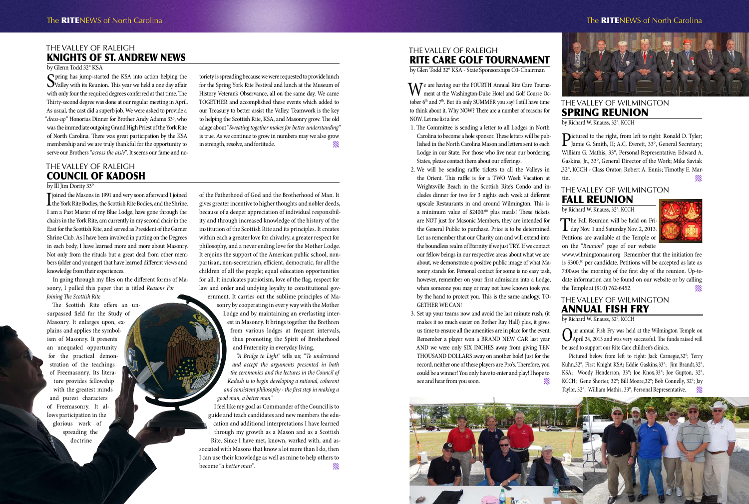# The Valley of Raleigh Council of Kadosh

#### by Ill Jim Dority 33°

I joined the Masons in 1991 and very soon afterward I joined<br>the York Rite Bodies, the Scottish Rite Bodies, and the Shrine. I am a Past Master of my Blue Lodge, have gone through the chairs in the York Rite, am currently in my second chair in the East for the Scottish Rite, and served as President of the Garner Shrine Club. As I have been involved in putting on the Degrees in each body, I have learned more and more about Masonry. Not only from the rituals but a great deal from other members (older and younger) that have learned different views and knowledge from their experiences.

In going through my files on the different forms of Masonry, I pulled this paper that is titled *Reasons For Joining The Scottish Rite*

The Scottish Rite offers an unsurpassed field for the Study of Masonry. It enlarges upon, explains and applies the symbolism of Masonry. It presents an unequaled opportunity for the practical demonstration of the teachings of Freemasonry. Its literature provides fellowship with the greatest minds and purest characters of Freemasonry. It allows participation in the glorious work of spreading the doctrine

We are having our the FOURTH Annual Rite Care Tourna-<br>ment at the Washington-Duke Hotel and Golf Course October 6<sup>th</sup> and 7<sup>th</sup>. But it's only SUMMER you say! I still have time to think about it, Why NOW? There are a number of reasons for NOW. Let me list a few:

- 1. The Committee is sending a letter to all Lodges in North Carolina to become a hole sponsor. These letters will be published in the North Carolina Mason and letters sent to each Lodge in our State. For those who live near our bordering States, please contact them about our offerings.
- 2. We will be sending raffle tickets to all the Valleys in the Orient. This raffle is for a TWO Week Vacation at Wrightsville Beach in the Scottish Rite's Condo and includes dinner for two for 3 nights each week at different upscale Restaurants in and around Wilmington. This is a minimum value of \$2400.00 plus meals! These tickets are NOT just for Masonic Members, they are intended for the General Public to purchase. Price is to be determined. Let us remember that our Charity can and will extend into the boundless realm of Eternity if we just TRY. If we contact our fellow beings in our respective areas about what we are about, we demonstrate a positive public image of what Masonry stands for. Personal contact for some is no easy task, however, remember on your first admission into a Lodge, when someone you may or may not have known took you by the hand to protect you. This is the same analogy. TO-GETHER WE CAN!
- 3. Set up your teams now and avoid the last minute rush, (it makes it so much easier on Bother Ray Hall) plus, it gives us time to ensure all the amenities are in place for the event. Remember a player won a BRAND NEW CAR last year AND we were only SIX INCHES away from giving TEN THOUSAND DOLLARS away on another hole! Just for the record, neither one of these players are Pro's. Therefore, you could be a winner! You only have to enter and play! I hope to see and hear from you soon.



of the Fatherhood of God and the Brotherhood of Man. It gives greater incentive to higher thoughts and nobler deeds, because of a deeper appreciation of individual responsibility and through increased knowledge of the history of the institution of the Scottish Rite and its principles. It creates within each a greater love for chivalry, a greater respect for philosophy, and a never ending love for the Mother Lodge. It enjoins the support of the American public school, nonpartisan, non-secretarian, efficient, democratic, for all the children of all the people; equal education opportunities for all. It inculcates patriotism, love of the flag, respect for law and order and undying loyalty to constitutional government. It carries out the sublime principles of Masonry by cooperating in every way with the Mother Lodge and by maintaining an everlasting interest in Masonry. It brings together the Brethren from various lodges at frequent intervals, thus promoting the Spirit of Brotherhood and Fraternity in everyday living. *"A Bridge to Light"* tells us; "*To understand* 

*and accept the arguments presented in both the ceremonies and the lectures in the Council of Kadosh is to begin developing a rational, coherent and consistent philosophy - the first step in making a good man, a better man."*

I feel like my goal as Commander of the Council is to guide and teach candidates and new members the education and additional interpretations I have learned through my growth as a Mason and as a Scottish Rite. Since I have met, known, worked with, and associated with Masons that know a lot more than I do, then I can use their knowledge as well as mine to help others to become "*a better man*".

Spring has jump-started the KSA into action helping the<br>Valley with its Reunion. This year we held a one day affair Valley with its Reunion. This year we held a one day affair with only four the required degrees conferred at that time. The Thirty-second degree was done at our regular meeting in April. As usual, the cast did a superb job. We were asked to provide a "*dress-up*" Honorius Dinner for Brother Andy Adams 33º, who was the immediate outgoing Grand High Priest of the York Rite of North Carolina. There was great participation by the KSA membership and we are truly thankful for the opportunity to serve our Brothers "*across the aisle*". It seems our fame and noThe Valley of Raleigh Rite Care Golf Tournament

by Glen Todd 32° KSA - State Sponsorships C0-Chairman

Dictured to the right, from left to right: Ronald D. Tyler;<br>Jamie G. Smith, II; A.C. Everett, 33°, General Secretary; William G. Mathis, 33°, Personal Representative; Edward A. Gaskins, Jr., 33°, General Director of the Work; Mike Saviak ,32°, KCCH - Class Orator; Robert A. Ennis; Timothy E. Martin.

The Fall Reunion will be held on Fri-<br>day Nov. 1 and Saturday Nov. 2, 2013. Petitions are available at the Temple or on the "*Reunion*" page of our website



# The Valley of Raleigh Knights of St. Andrew News

#### by Glenn Todd 32° KSA

toriety is spreading because we were requested to provide lunch for the Spring York Rite Festival and lunch at the Museum of History Veteran's Observance, all on the same day. We came TOGETHER and accomplished these events which added to our Treasury to better assist the Valley. Teamwork is the key to helping the Scottish Rite, KSA, and Masonry grow. The old adage about "*Sweating together makes for better understanding*" is true. As we continue to grow in numbers may we also grow in strength, resolve, and fortitude.



#### The RITENEWS of North Carolina **The RITENEWS** of North Carolina



## The Valley of Wilmington Annual Fish Fry

by Richard W. Knauss, 32°, KCCH

Our annual Fish Fry was held at the Wilmington Temple on April 24, 2013 and was very successful. The funds raised will be used to support our Rite Care children's clinics.

Pictured below from left to right: Jack Carnegie,32°; Terry Kuhn,32°, First Knight KSA; Eddie Gaskins,33°; Jim Brandt,32°, KSA; Woody Henderson, 33°; Joe Knox,33°; Joe Gupton, 32°, KCCH; Gene Shorter, 32°; Bill Moore,32°; Bob Connelly, 32°; Jay Taylor, 32°; William Mathis, 33°, Personal Representative.

#### The Valley of Wilmington Spring Reunion

by Richard W. Knauss, 32°, KCCH

#### The Valley of Wilmington FALL Reunion

by Richard W. Knauss, 32°, KCCH

www.wilmingtonaasr.org Remember that the initiation fee is \$300.00 per candidate. Petitions will be accepted as late as 7:00am the morning of the first day of the reunion. Up-todate information can be found on our website or by calling the Temple at (910) 762-6452.